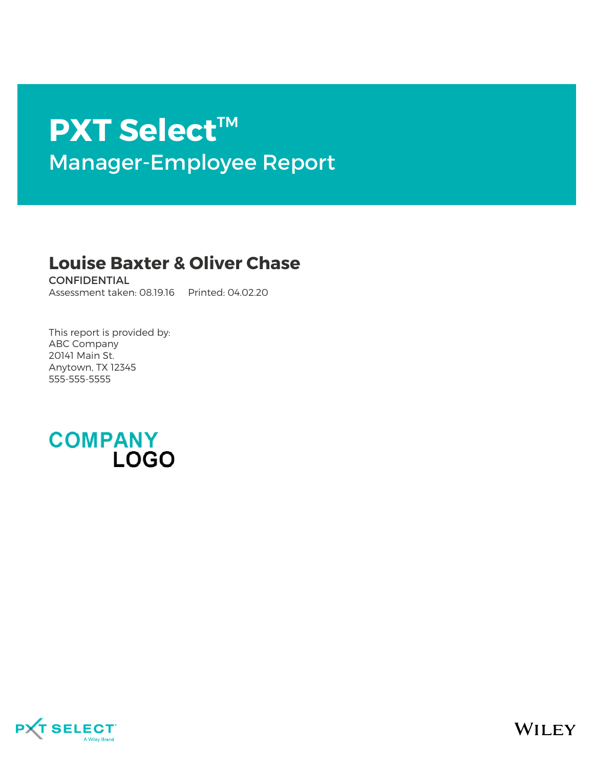# **PXT Select**™ Manager-Employee Report

# **Louise Baxter & Oliver Chase**

CONFIDENTIAL Assessment taken: 08.19.16 Printed: 04.02.20

This report is provided by: ABC Company 20141 Main St. Anytown, TX 12345 555-555-5555



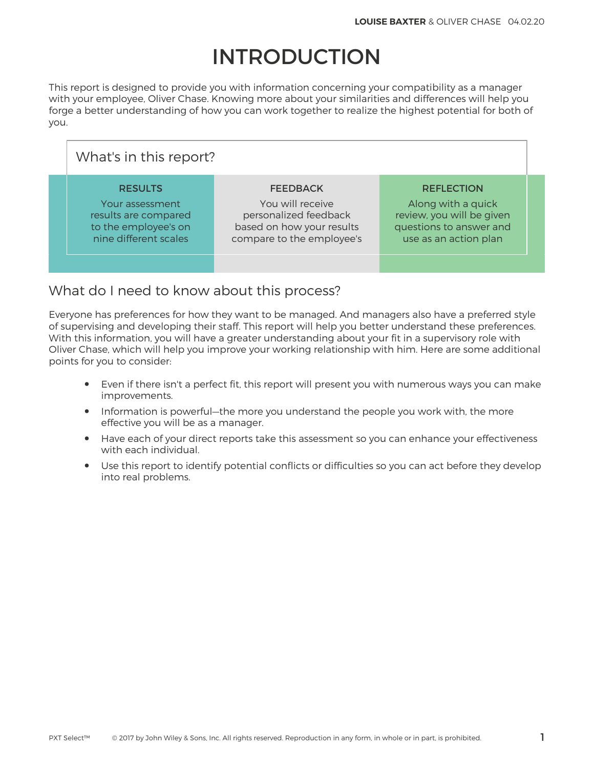# INTRODUCTION

This report is designed to provide you with information concerning your compatibility as a manager with your employee, Oliver Chase. Knowing more about your similarities and differences will help you forge a better understanding of how you can work together to realize the highest potential for both of you.

| What's in this report?                                                                                     |                                                                                                                        |                                                                                                                          |  |  |  |
|------------------------------------------------------------------------------------------------------------|------------------------------------------------------------------------------------------------------------------------|--------------------------------------------------------------------------------------------------------------------------|--|--|--|
| <b>RESULTS</b><br>Your assessment<br>results are compared<br>to the employee's on<br>nine different scales | <b>FEEDBACK</b><br>You will receive<br>personalized feedback<br>based on how your results<br>compare to the employee's | <b>REFLECTION</b><br>Along with a quick<br>review, you will be given<br>questions to answer and<br>use as an action plan |  |  |  |
|                                                                                                            |                                                                                                                        |                                                                                                                          |  |  |  |

## What do I need to know about this process?

Everyone has preferences for how they want to be managed. And managers also have a preferred style of supervising and developing their staff. This report will help you better understand these preferences. With this information, you will have a greater understanding about your fit in a supervisory role with Oliver Chase, which will help you improve your working relationship with him. Here are some additional points for you to consider:

- Even if there isn't a perfect fit, this report will present you with numerous ways you can make improvements.
- Information is powerful—the more you understand the people you work with, the more effective you will be as a manager.
- Have each of your direct reports take this assessment so you can enhance your effectiveness with each individual.
- Use this report to identify potential conflicts or difficulties so you can act before they develop into real problems.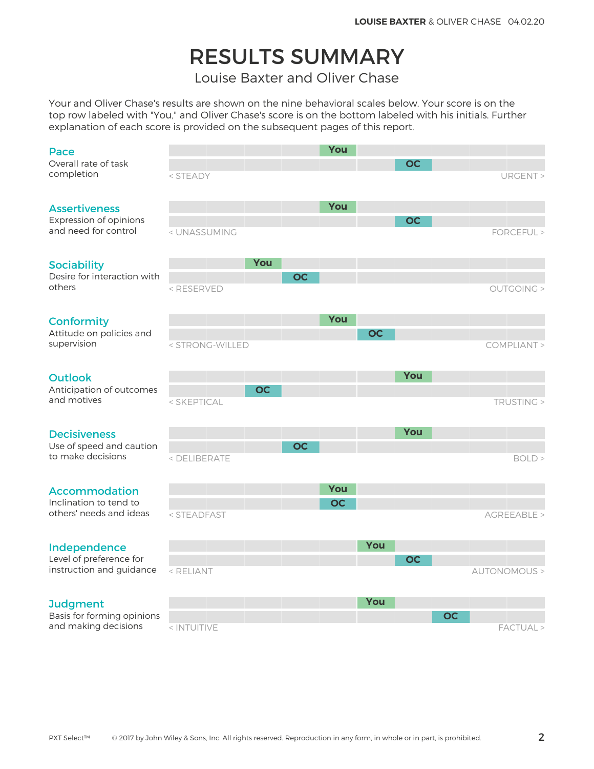# RESULTS SUMMARY

Louise Baxter and Oliver Chase

Your and Oliver Chase's results are shown on the nine behavioral scales below. Your score is on the top row labeled with "You," and Oliver Chase's score is on the bottom labeled with his initials. Further explanation of each score is provided on the subsequent pages of this report.

#### Pace

### Assertiveness

### **Conformity**

### Outlook

### **Decisiveness**

### Accommodation

### Independence

### **Judgment**

| Pace                                               |                                                                                                                             |     |           | You       |     |           |           |              |  |
|----------------------------------------------------|-----------------------------------------------------------------------------------------------------------------------------|-----|-----------|-----------|-----|-----------|-----------|--------------|--|
| Overall rate of task<br>completion                 | < STEADY                                                                                                                    |     |           |           |     | <b>OC</b> |           | URGENT >     |  |
| <b>Assertiveness</b>                               |                                                                                                                             |     |           | You       |     |           |           |              |  |
| Expression of opinions<br>and need for control     | < UNASSUMING                                                                                                                |     |           |           |     | <b>OC</b> |           | FORCEFUL >   |  |
| <b>Sociability</b>                                 |                                                                                                                             | You |           |           |     |           |           |              |  |
| Desire for interaction with<br>others              | <reserved< td=""><td></td><td><b>OC</b></td><td></td><td></td><td></td><td></td><td>OUTGOING &gt;</td><td></td></reserved<> |     | <b>OC</b> |           |     |           |           | OUTGOING >   |  |
| <b>Conformity</b>                                  |                                                                                                                             |     |           | You       |     |           |           |              |  |
| Attitude on policies and<br>supervision            | < STRONG-WILLED                                                                                                             |     |           |           | OC  |           |           | COMPLIANT >  |  |
| <b>Outlook</b>                                     |                                                                                                                             |     |           |           |     | You       |           |              |  |
| Anticipation of outcomes<br>and motives            | < SKEPTICAL                                                                                                                 | OC  |           |           |     |           |           | TRUSTING >   |  |
| <b>Decisiveness</b>                                |                                                                                                                             |     |           |           |     | You       |           |              |  |
| Use of speed and caution<br>to make decisions      | < DELIBERATE                                                                                                                |     | <b>OC</b> |           |     |           |           | BOLD >       |  |
| <b>Accommodation</b>                               |                                                                                                                             |     |           | You       |     |           |           |              |  |
| Inclination to tend to<br>others' needs and ideas  | < STEADFAST                                                                                                                 |     |           | <b>OC</b> |     |           |           | AGREEABLE >  |  |
|                                                    |                                                                                                                             |     |           |           | You |           |           |              |  |
| Independence<br>Level of preference for            |                                                                                                                             |     |           |           |     | <b>OC</b> |           |              |  |
| instruction and guidance                           | < RELIANT                                                                                                                   |     |           |           |     |           |           | AUTONOMOUS > |  |
| <b>Judgment</b>                                    |                                                                                                                             |     |           |           | You |           |           |              |  |
| Basis for forming opinions<br>and making decisions | < INTUITIVE                                                                                                                 |     |           |           |     |           | <b>OC</b> | FACTUAL >    |  |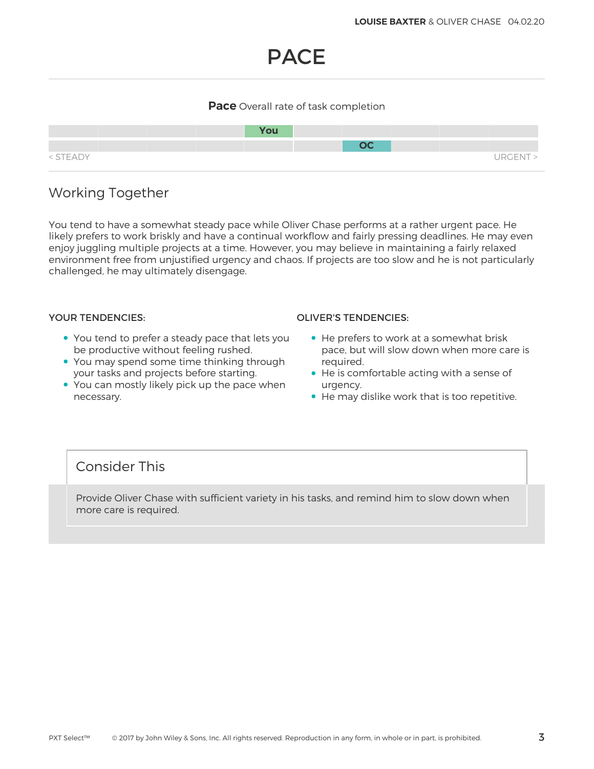# PACE

### **Pace** Overall rate of task completion



## Working Together

You tend to have a somewhat steady pace while Oliver Chase performs at a rather urgent pace. He likely prefers to work briskly and have a continual workflow and fairly pressing deadlines. He may even enjoy juggling multiple projects at a time. However, you may believe in maintaining a fairly relaxed environment free from unjustified urgency and chaos. If projects are too slow and he is not particularly challenged, he may ultimately disengage.

- You tend to prefer a steady pace that lets you be productive without feeling rushed.
- You may spend some time thinking through your tasks and projects before starting.
- You can mostly likely pick up the pace when necessary.

### YOUR TENDENCIES: OLIVER'S TENDENCIES:

- He prefers to work at a somewhat brisk pace, but will slow down when more care is required.
- He is comfortable acting with a sense of urgency.
- He may dislike work that is too repetitive.

### Consider This

Provide Oliver Chase with sufficient variety in his tasks, and remind him to slow down when more care is required.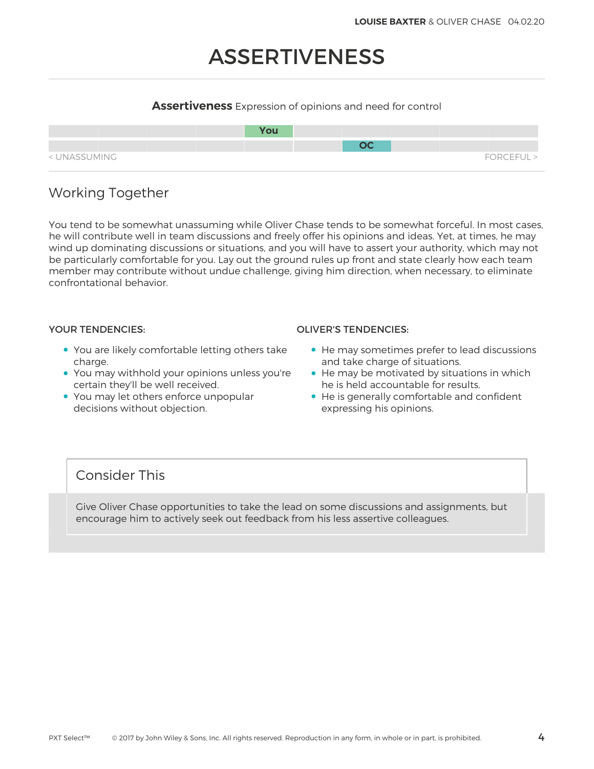# ASSERTIVENESS

### **Assertiveness** Expression of opinions and need for control



# Working Together

You tend to be somewhat unassuming while Oliver Chase tends to be somewhat forceful. In most cases, he will contribute well in team discussions and freely offer his opinions and ideas. Yet, at times, he may wind up dominating discussions or situations, and you will have to assert your authority, which may not be particularly comfortable for you. Lay out the ground rules up front and state clearly how each team member may contribute without undue challenge, giving him direction, when necessary, to eliminate confrontational behavior.

- You are likely comfortable letting others take charge.
- You may withhold your opinions unless you're certain they'll be well received.
- You may let others enforce unpopular decisions without objection.

### YOUR TENDENCIES: OLIVER'S TENDENCIES:

- He may sometimes prefer to lead discussions and take charge of situations.
- He may be motivated by situations in which he is held accountable for results.
- He is generally comfortable and confident expressing his opinions.

### Consider This

Give Oliver Chase opportunities to take the lead on some discussions and assignments, but encourage him to actively seek out feedback from his less assertive colleagues.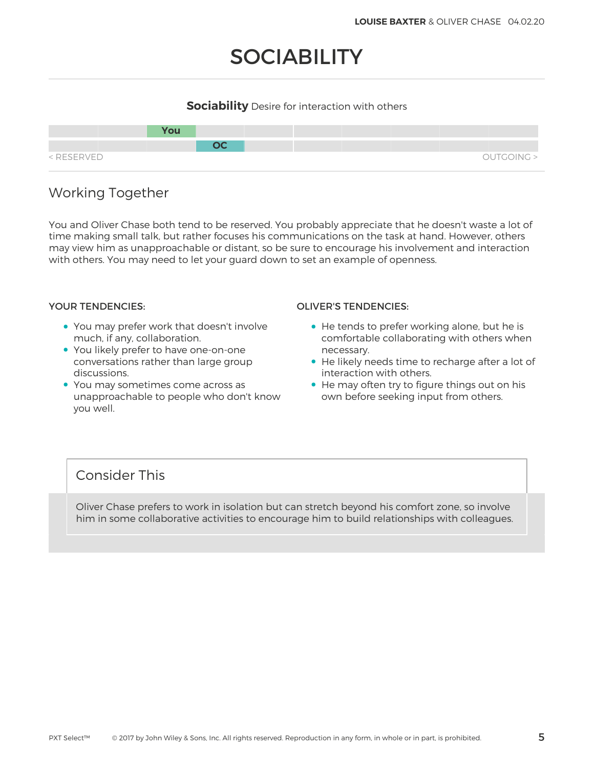# **SOCIABILITY**

### **Sociability** Desire for interaction with others



## Working Together

You and Oliver Chase both tend to be reserved. You probably appreciate that he doesn't waste a lot of time making small talk, but rather focuses his communications on the task at hand. However, others may view him as unapproachable or distant, so be sure to encourage his involvement and interaction with others. You may need to let your guard down to set an example of openness.

- You may prefer work that doesn't involve much, if any, collaboration.
- You likely prefer to have one-on-one conversations rather than large group discussions.
- You may sometimes come across as unapproachable to people who don't know you well.

### YOUR TENDENCIES: OLIVER'S TENDENCIES:

- He tends to prefer working alone, but he is comfortable collaborating with others when necessary.
- He likely needs time to recharge after a lot of interaction with others.
- He may often try to figure things out on his own before seeking input from others.

### Consider This

Oliver Chase prefers to work in isolation but can stretch beyond his comfort zone, so involve him in some collaborative activities to encourage him to build relationships with colleagues.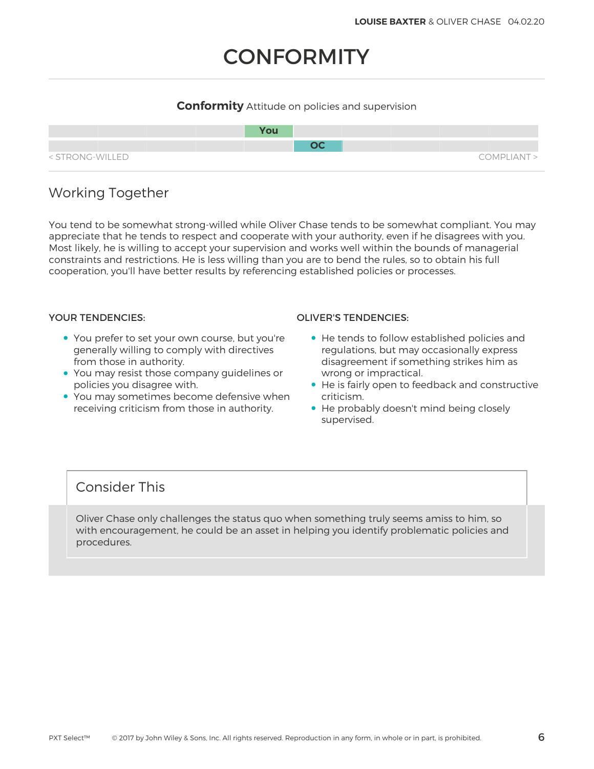# **CONFORMITY**

### **Conformity** Attitude on policies and supervision



# Working Together

You tend to be somewhat strong-willed while Oliver Chase tends to be somewhat compliant. You may appreciate that he tends to respect and cooperate with your authority, even if he disagrees with you. Most likely, he is willing to accept your supervision and works well within the bounds of managerial constraints and restrictions. He is less willing than you are to bend the rules, so to obtain his full cooperation, you'll have better results by referencing established policies or processes.

- You prefer to set your own course, but you're generally willing to comply with directives from those in authority.
- You may resist those company guidelines or policies you disagree with.
- You may sometimes become defensive when receiving criticism from those in authority.

### YOUR TENDENCIES: OLIVER'S TENDENCIES:

- He tends to follow established policies and regulations, but may occasionally express disagreement if something strikes him as wrong or impractical.
- He is fairly open to feedback and constructive criticism.
- He probably doesn't mind being closely supervised.

## Consider This

Oliver Chase only challenges the status quo when something truly seems amiss to him, so with encouragement, he could be an asset in helping you identify problematic policies and procedures.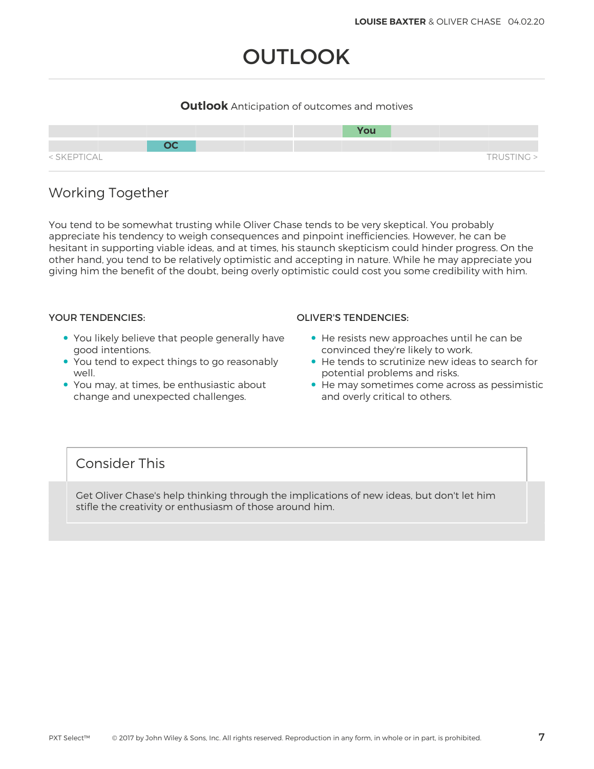# **OUTLOOK**

### **Outlook** Anticipation of outcomes and motives



# Working Together

You tend to be somewhat trusting while Oliver Chase tends to be very skeptical. You probably appreciate his tendency to weigh consequences and pinpoint inefficiencies. However, he can be hesitant in supporting viable ideas, and at times, his staunch skepticism could hinder progress. On the other hand, you tend to be relatively optimistic and accepting in nature. While he may appreciate you giving him the benefit of the doubt, being overly optimistic could cost you some credibility with him.

- You likely believe that people generally have good intentions.
- You tend to expect things to go reasonably well.
- You may, at times, be enthusiastic about change and unexpected challenges.

### YOUR TENDENCIES: OLIVER'S TENDENCIES:

- He resists new approaches until he can be convinced they're likely to work.
- He tends to scrutinize new ideas to search for potential problems and risks.
- He may sometimes come across as pessimistic and overly critical to others.

## Consider This

Get Oliver Chase's help thinking through the implications of new ideas, but don't let him stifle the creativity or enthusiasm of those around him.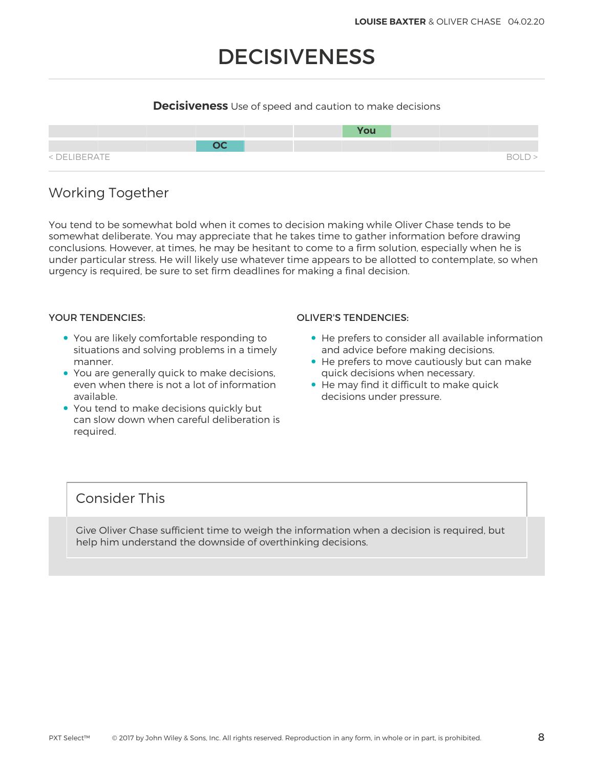# DECISIVENESS

### **Decisiveness** Use of speed and caution to make decisions



# Working Together

You tend to be somewhat bold when it comes to decision making while Oliver Chase tends to be somewhat deliberate. You may appreciate that he takes time to gather information before drawing conclusions. However, at times, he may be hesitant to come to a firm solution, especially when he is under particular stress. He will likely use whatever time appears to be allotted to contemplate, so when urgency is required, be sure to set firm deadlines for making a final decision.

- You are likely comfortable responding to situations and solving problems in a timely manner.
- You are generally quick to make decisions, even when there is not a lot of information available.
- You tend to make decisions quickly but can slow down when careful deliberation is required.

### YOUR TENDENCIES: OLIVER'S TENDENCIES:

- He prefers to consider all available information and advice before making decisions.
- He prefers to move cautiously but can make quick decisions when necessary.
- He may find it difficult to make quick decisions under pressure.

## Consider This

Give Oliver Chase sufficient time to weigh the information when a decision is required, but help him understand the downside of overthinking decisions.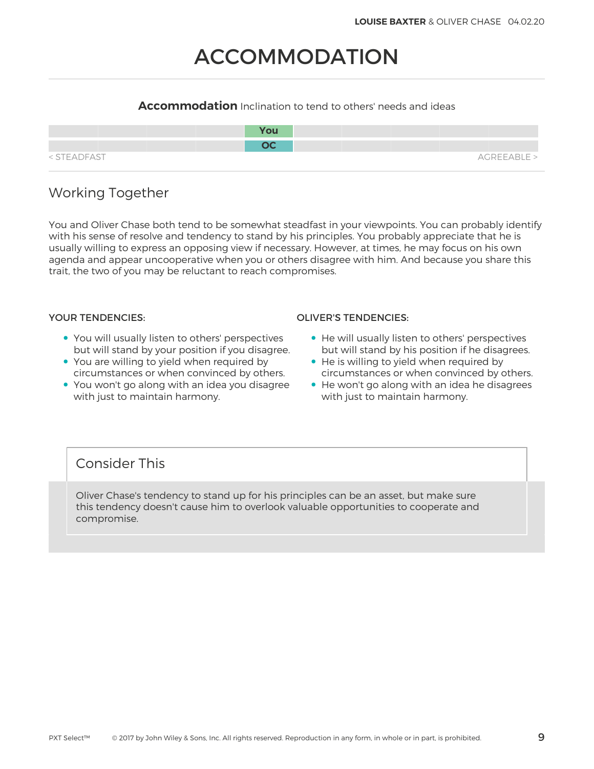# ACCOMMODATION

### **Accommodation** Inclination to tend to others' needs and ideas

|             | <b>You</b> |             |
|-------------|------------|-------------|
|             | nr.        |             |
| < STEADFAST |            | AGREEABLE > |

# Working Together

You and Oliver Chase both tend to be somewhat steadfast in your viewpoints. You can probably identify with his sense of resolve and tendency to stand by his principles. You probably appreciate that he is usually willing to express an opposing view if necessary. However, at times, he may focus on his own agenda and appear uncooperative when you or others disagree with him. And because you share this trait, the two of you may be reluctant to reach compromises.

- You will usually listen to others' perspectives but will stand by your position if you disagree.
- You are willing to yield when required by circumstances or when convinced by others.
- You won't go along with an idea you disagree with just to maintain harmony.

### YOUR TENDENCIES: OLIVER'S TENDENCIES:

- He will usually listen to others' perspectives but will stand by his position if he disagrees.
- He is willing to yield when required by circumstances or when convinced by others.
- He won't go along with an idea he disagrees with just to maintain harmony.

# Consider This

Oliver Chase's tendency to stand up for his principles can be an asset, but make sure this tendency doesn't cause him to overlook valuable opportunities to cooperate and compromise.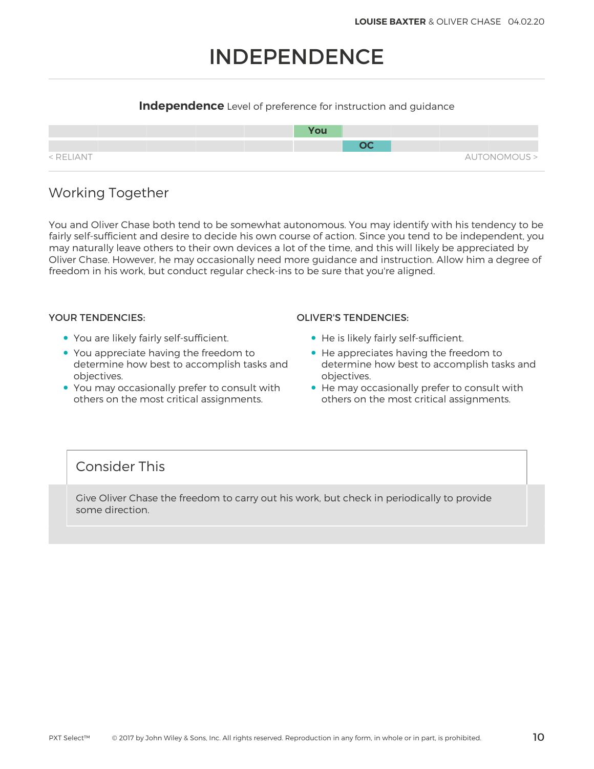# INDEPENDENCE

### **Independence** Level of preference for instruction and guidance



## Working Together

You and Oliver Chase both tend to be somewhat autonomous. You may identify with his tendency to be fairly self-sufficient and desire to decide his own course of action. Since you tend to be independent, you may naturally leave others to their own devices a lot of the time, and this will likely be appreciated by Oliver Chase. However, he may occasionally need more guidance and instruction. Allow him a degree of freedom in his work, but conduct regular check-ins to be sure that you're aligned.

- You are likely fairly self-sufficient.
- You appreciate having the freedom to determine how best to accomplish tasks and objectives.
- You may occasionally prefer to consult with others on the most critical assignments.

### YOUR TENDENCIES: OLIVER'S TENDENCIES:

- He is likely fairly self-sufficient.
- He appreciates having the freedom to determine how best to accomplish tasks and objectives.
- He may occasionally prefer to consult with others on the most critical assignments.

## Consider This

Give Oliver Chase the freedom to carry out his work, but check in periodically to provide some direction.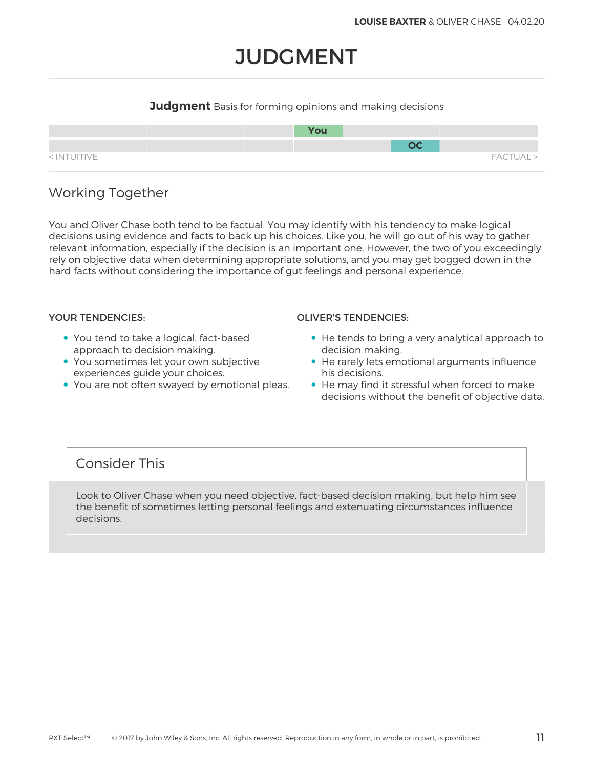# **JUDGMENT**

### **Judgment** Basis for forming opinions and making decisions



# Working Together

You and Oliver Chase both tend to be factual. You may identify with his tendency to make logical decisions using evidence and facts to back up his choices. Like you, he will go out of his way to gather relevant information, especially if the decision is an important one. However, the two of you exceedingly rely on objective data when determining appropriate solutions, and you may get bogged down in the hard facts without considering the importance of gut feelings and personal experience.

- You tend to take a logical, fact-based approach to decision making.
- You sometimes let your own subjective experiences guide your choices.
- You are not often swayed by emotional pleas.

### YOUR TENDENCIES: OLIVER'S TENDENCIES:

- He tends to bring a very analytical approach to decision making.
- He rarely lets emotional arguments influence his decisions.
- He may find it stressful when forced to make decisions without the benefit of objective data.

## Consider This

Look to Oliver Chase when you need objective, fact-based decision making, but help him see the benefit of sometimes letting personal feelings and extenuating circumstances influence decisions.